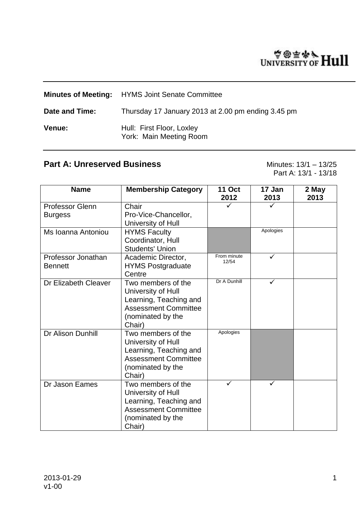# WIVERSITY OF Hull

|                | <b>Minutes of Meeting:</b> HYMS Joint Senate Committee |
|----------------|--------------------------------------------------------|
| Date and Time: | Thursday 17 January 2013 at 2.00 pm ending 3.45 pm     |
| <b>Venue:</b>  | Hull: First Floor, Loxley<br>York: Main Meeting Room   |

# **Part A: Unreserved Business** Minutes: 13/1 – 13/25

Part A: 13/1 - 13/18

| <b>Name</b>                          | <b>Membership Category</b>                                                                                                       | <b>11 Oct</b><br>2012 | 17 Jan<br>2013 | 2 May<br>2013 |
|--------------------------------------|----------------------------------------------------------------------------------------------------------------------------------|-----------------------|----------------|---------------|
| Professor Glenn                      | Chair                                                                                                                            |                       |                |               |
| <b>Burgess</b>                       | Pro-Vice-Chancellor,<br>University of Hull                                                                                       |                       |                |               |
| Ms Ioanna Antoniou                   | <b>HYMS Faculty</b><br>Coordinator, Hull<br><b>Students' Union</b>                                                               |                       | Apologies      |               |
| Professor Jonathan<br><b>Bennett</b> | Academic Director,<br><b>HYMS Postgraduate</b><br>Centre                                                                         | From minute<br>12/54  | ✓              |               |
| Dr Elizabeth Cleaver                 | Two members of the<br>University of Hull<br>Learning, Teaching and<br><b>Assessment Committee</b><br>(nominated by the<br>Chair) | Dr A Dunhill          | ✓              |               |
| Dr Alison Dunhill                    | Two members of the<br>University of Hull<br>Learning, Teaching and<br><b>Assessment Committee</b><br>(nominated by the<br>Chair) | Apologies             |                |               |
| Dr Jason Eames                       | Two members of the<br>University of Hull<br>Learning, Teaching and<br><b>Assessment Committee</b><br>(nominated by the<br>Chair) | ✓                     | ✓              |               |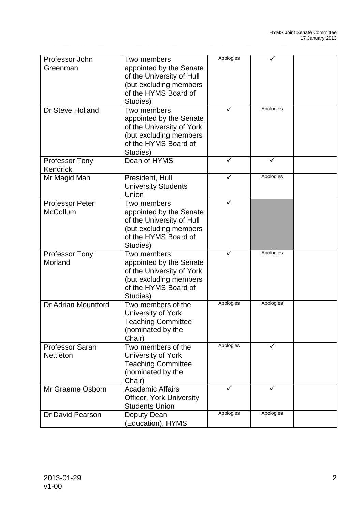| Professor John         | Two members                     | Apologies |           |  |
|------------------------|---------------------------------|-----------|-----------|--|
| Greenman               | appointed by the Senate         |           |           |  |
|                        | of the University of Hull       |           |           |  |
|                        |                                 |           |           |  |
|                        | (but excluding members          |           |           |  |
|                        | of the HYMS Board of            |           |           |  |
|                        | Studies)                        |           |           |  |
| Dr Steve Holland       | Two members                     |           | Apologies |  |
|                        | appointed by the Senate         |           |           |  |
|                        | of the University of York       |           |           |  |
|                        | (but excluding members          |           |           |  |
|                        | of the HYMS Board of            |           |           |  |
|                        |                                 |           |           |  |
|                        | Studies)                        |           |           |  |
| <b>Professor Tony</b>  | Dean of HYMS                    |           | ✓         |  |
| Kendrick               |                                 |           |           |  |
| Mr Magid Mah           | President, Hull                 | ✓         | Apologies |  |
|                        | <b>University Students</b>      |           |           |  |
|                        | Union                           |           |           |  |
| <b>Professor Peter</b> | Two members                     | ✓         |           |  |
| McCollum               | appointed by the Senate         |           |           |  |
|                        | of the University of Hull       |           |           |  |
|                        |                                 |           |           |  |
|                        | (but excluding members          |           |           |  |
|                        | of the HYMS Board of            |           |           |  |
|                        | Studies)                        |           |           |  |
| <b>Professor Tony</b>  | Two members                     |           | Apologies |  |
| Morland                | appointed by the Senate         |           |           |  |
|                        | of the University of York       |           |           |  |
|                        | (but excluding members          |           |           |  |
|                        | of the HYMS Board of            |           |           |  |
|                        | Studies)                        |           |           |  |
|                        | Two members of the              | Apologies | Apologies |  |
| Dr Adrian Mountford    |                                 |           |           |  |
|                        | University of York              |           |           |  |
|                        | <b>Teaching Committee</b>       |           |           |  |
|                        | (nominated by the               |           |           |  |
|                        | Chair)                          |           |           |  |
| <b>Professor Sarah</b> | Two members of the              | Apologies | ✓         |  |
| <b>Nettleton</b>       | University of York              |           |           |  |
|                        | <b>Teaching Committee</b>       |           |           |  |
|                        |                                 |           |           |  |
|                        | (nominated by the               |           |           |  |
|                        | Chair)                          |           |           |  |
| Mr Graeme Osborn       | Academic Affairs                | ✓         | ✓         |  |
|                        | <b>Officer, York University</b> |           |           |  |
|                        | <b>Students Union</b>           |           |           |  |
| Dr David Pearson       | Deputy Dean                     | Apologies | Apologies |  |
|                        | (Education), HYMS               |           |           |  |
|                        |                                 |           |           |  |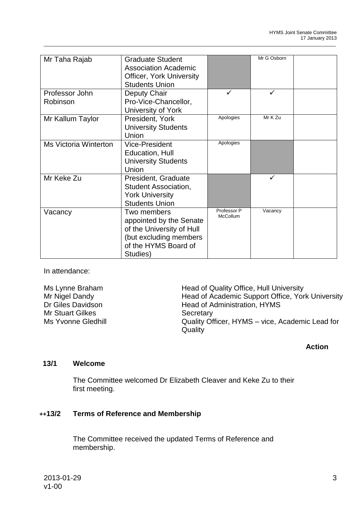| Mr Taha Rajab                | <b>Graduate Student</b>         |                                | Mr G Osborn |  |
|------------------------------|---------------------------------|--------------------------------|-------------|--|
|                              | <b>Association Academic</b>     |                                |             |  |
|                              | <b>Officer, York University</b> |                                |             |  |
|                              | <b>Students Union</b>           |                                |             |  |
| Professor John               | Deputy Chair                    | ✓                              | ✓           |  |
| Robinson                     | Pro-Vice-Chancellor,            |                                |             |  |
|                              | University of York              |                                |             |  |
| Mr Kallum Taylor             | President, York                 | Apologies                      | Mr K Zu     |  |
|                              | <b>University Students</b>      |                                |             |  |
|                              | Union                           |                                |             |  |
| <b>Ms Victoria Winterton</b> | <b>Vice-President</b>           | Apologies                      |             |  |
|                              | Education, Hull                 |                                |             |  |
|                              | <b>University Students</b>      |                                |             |  |
|                              | Union                           |                                |             |  |
| Mr Keke Zu                   | President, Graduate             |                                | ✓           |  |
|                              | <b>Student Association,</b>     |                                |             |  |
|                              | <b>York University</b>          |                                |             |  |
|                              | <b>Students Union</b>           |                                |             |  |
| Vacancy                      | Two members                     | Professor P<br><b>McCollum</b> | Vacancy     |  |
|                              | appointed by the Senate         |                                |             |  |
|                              | of the University of Hull       |                                |             |  |
|                              | (but excluding members          |                                |             |  |
|                              | of the HYMS Board of            |                                |             |  |
|                              | Studies)                        |                                |             |  |

\_\_\_\_\_\_\_\_\_\_\_\_\_\_\_\_\_\_\_\_\_\_\_\_\_\_\_\_\_\_\_\_\_\_\_\_\_\_\_\_\_\_\_\_\_\_\_\_\_\_\_\_\_\_\_\_\_\_\_\_\_\_\_\_\_\_\_\_\_\_\_\_\_\_\_\_\_\_\_\_\_\_\_\_\_\_\_\_\_\_\_\_\_\_\_\_\_\_\_\_\_\_\_\_\_\_\_\_

In attendance:

| Ms Lynne Braham         | Head of Quality Office, Hull University                    |
|-------------------------|------------------------------------------------------------|
| Mr Nigel Dandy          | Head of Academic Support Office, York University           |
| Dr Giles Davidson       | Head of Administration, HYMS                               |
| <b>Mr Stuart Gilkes</b> | Secretary                                                  |
| Ms Yvonne Gledhill      | Quality Officer, HYMS - vice, Academic Lead for<br>Quality |

# **Action**

# **13/1 Welcome**

The Committee welcomed Dr Elizabeth Cleaver and Keke Zu to their first meeting.

# **++13/2 Terms of Reference and Membership**

The Committee received the updated Terms of Reference and membership.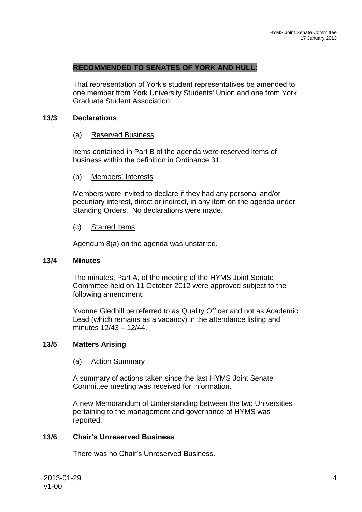#### **RECOMMENDED TO SENATES OF YORK AND HULL:**

That representation of York's student representatives be amended to one member from York University Students' Union and one from York Graduate Student Association.

\_\_\_\_\_\_\_\_\_\_\_\_\_\_\_\_\_\_\_\_\_\_\_\_\_\_\_\_\_\_\_\_\_\_\_\_\_\_\_\_\_\_\_\_\_\_\_\_\_\_\_\_\_\_\_\_\_\_\_\_\_\_\_\_\_\_\_\_\_\_\_\_\_\_\_\_\_\_\_\_\_\_\_\_\_\_\_\_\_\_\_\_\_\_\_\_\_\_\_\_\_\_\_\_\_\_\_\_

#### **13/3 Declarations**

#### (a) Reserved Business

Items contained in Part B of the agenda were reserved items of business within the definition in Ordinance 31.

#### (b) Members' Interests

Members were invited to declare if they had any personal and/or pecuniary interest, direct or indirect, in any item on the agenda under Standing Orders. No declarations were made.

#### (c) Starred Items

Agendum 8(a) on the agenda was unstarred.

#### **13/4 Minutes**

The minutes, Part A, of the meeting of the HYMS Joint Senate Committee held on 11 October 2012 were approved subject to the following amendment:

Yvonne Gledhill be referred to as Quality Officer and not as Academic Lead (which remains as a vacancy) in the attendance listing and minutes 12/43 – 12/44.

#### **13/5 Matters Arising**

#### (a) Action Summary

A summary of actions taken since the last HYMS Joint Senate Committee meeting was received for information.

A new Memorandum of Understanding between the two Universities pertaining to the management and governance of HYMS was reported.

## **13/6 Chair's Unreserved Business**

There was no Chair's Unreserved Business.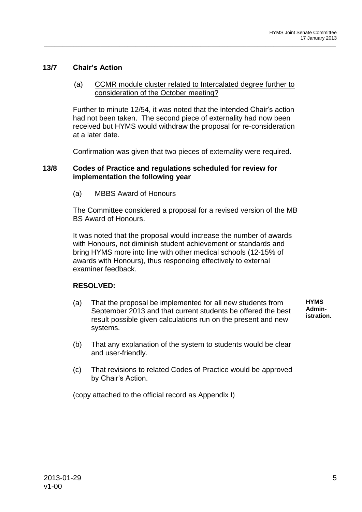# **13/7 Chair's Action**

## (a) CCMR module cluster related to Intercalated degree further to consideration of the October meeting?

\_\_\_\_\_\_\_\_\_\_\_\_\_\_\_\_\_\_\_\_\_\_\_\_\_\_\_\_\_\_\_\_\_\_\_\_\_\_\_\_\_\_\_\_\_\_\_\_\_\_\_\_\_\_\_\_\_\_\_\_\_\_\_\_\_\_\_\_\_\_\_\_\_\_\_\_\_\_\_\_\_\_\_\_\_\_\_\_\_\_\_\_\_\_\_\_\_\_\_\_\_\_\_\_\_\_\_\_

Further to minute 12/54, it was noted that the intended Chair's action had not been taken. The second piece of externality had now been received but HYMS would withdraw the proposal for re-consideration at a later date.

Confirmation was given that two pieces of externality were required.

#### **13/8 Codes of Practice and regulations scheduled for review for implementation the following year**

(a) MBBS Award of Honours

The Committee considered a proposal for a revised version of the MB BS Award of Honours.

It was noted that the proposal would increase the number of awards with Honours, not diminish student achievement or standards and bring HYMS more into line with other medical schools (12-15% of awards with Honours), thus responding effectively to external examiner feedback.

# **RESOLVED:**

- (a) That the proposal be implemented for all new students from September 2013 and that current students be offered the best result possible given calculations run on the present and new systems.
	- **HYMS Administration.**
- (b) That any explanation of the system to students would be clear and user-friendly.
- (c) That revisions to related Codes of Practice would be approved by Chair's Action.

(copy attached to the official record as Appendix I)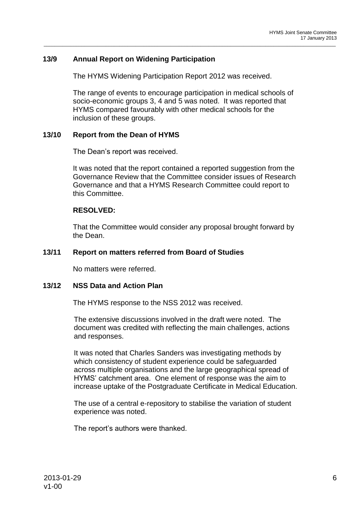# **13/9 Annual Report on Widening Participation**

The HYMS Widening Participation Report 2012 was received.

The range of events to encourage participation in medical schools of socio-economic groups 3, 4 and 5 was noted. It was reported that HYMS compared favourably with other medical schools for the inclusion of these groups.

\_\_\_\_\_\_\_\_\_\_\_\_\_\_\_\_\_\_\_\_\_\_\_\_\_\_\_\_\_\_\_\_\_\_\_\_\_\_\_\_\_\_\_\_\_\_\_\_\_\_\_\_\_\_\_\_\_\_\_\_\_\_\_\_\_\_\_\_\_\_\_\_\_\_\_\_\_\_\_\_\_\_\_\_\_\_\_\_\_\_\_\_\_\_\_\_\_\_\_\_\_\_\_\_\_\_\_\_

# **13/10 Report from the Dean of HYMS**

The Dean's report was received.

It was noted that the report contained a reported suggestion from the Governance Review that the Committee consider issues of Research Governance and that a HYMS Research Committee could report to this Committee.

#### **RESOLVED:**

That the Committee would consider any proposal brought forward by the Dean.

#### **13/11 Report on matters referred from Board of Studies**

No matters were referred.

#### **13/12 NSS Data and Action Plan**

The HYMS response to the NSS 2012 was received.

The extensive discussions involved in the draft were noted. The document was credited with reflecting the main challenges, actions and responses.

It was noted that Charles Sanders was investigating methods by which consistency of student experience could be safeguarded across multiple organisations and the large geographical spread of HYMS' catchment area. One element of response was the aim to increase uptake of the Postgraduate Certificate in Medical Education.

The use of a central e-repository to stabilise the variation of student experience was noted.

The report's authors were thanked.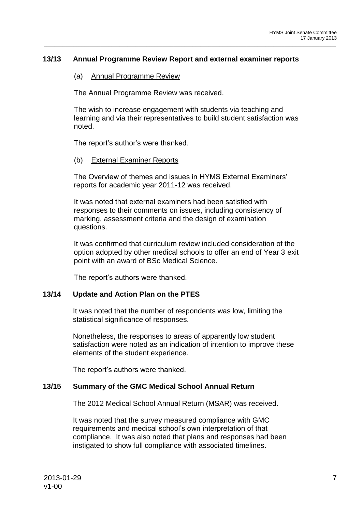# **13/13 Annual Programme Review Report and external examiner reports**

## (a) Annual Programme Review

The Annual Programme Review was received.

The wish to increase engagement with students via teaching and learning and via their representatives to build student satisfaction was noted.

\_\_\_\_\_\_\_\_\_\_\_\_\_\_\_\_\_\_\_\_\_\_\_\_\_\_\_\_\_\_\_\_\_\_\_\_\_\_\_\_\_\_\_\_\_\_\_\_\_\_\_\_\_\_\_\_\_\_\_\_\_\_\_\_\_\_\_\_\_\_\_\_\_\_\_\_\_\_\_\_\_\_\_\_\_\_\_\_\_\_\_\_\_\_\_\_\_\_\_\_\_\_\_\_\_\_\_\_

The report's author's were thanked.

#### (b) External Examiner Reports

The Overview of themes and issues in HYMS External Examiners' reports for academic year 2011-12 was received.

It was noted that external examiners had been satisfied with responses to their comments on issues, including consistency of marking, assessment criteria and the design of examination questions.

It was confirmed that curriculum review included consideration of the option adopted by other medical schools to offer an end of Year 3 exit point with an award of BSc Medical Science.

The report's authors were thanked.

# **13/14 Update and Action Plan on the PTES**

It was noted that the number of respondents was low, limiting the statistical significance of responses.

Nonetheless, the responses to areas of apparently low student satisfaction were noted as an indication of intention to improve these elements of the student experience.

The report's authors were thanked.

# **13/15 Summary of the GMC Medical School Annual Return**

The 2012 Medical School Annual Return (MSAR) was received.

It was noted that the survey measured compliance with GMC requirements and medical school's own interpretation of that compliance. It was also noted that plans and responses had been instigated to show full compliance with associated timelines.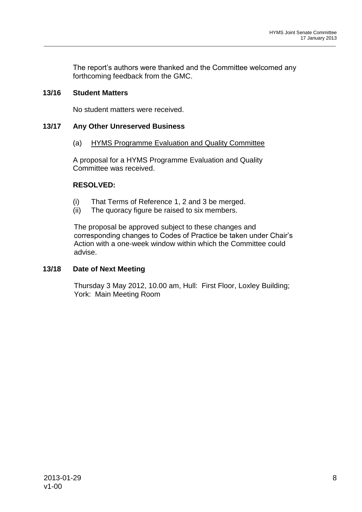The report's authors were thanked and the Committee welcomed any forthcoming feedback from the GMC.

\_\_\_\_\_\_\_\_\_\_\_\_\_\_\_\_\_\_\_\_\_\_\_\_\_\_\_\_\_\_\_\_\_\_\_\_\_\_\_\_\_\_\_\_\_\_\_\_\_\_\_\_\_\_\_\_\_\_\_\_\_\_\_\_\_\_\_\_\_\_\_\_\_\_\_\_\_\_\_\_\_\_\_\_\_\_\_\_\_\_\_\_\_\_\_\_\_\_\_\_\_\_\_\_\_\_\_\_

# **13/16 Student Matters**

No student matters were received.

# **13/17 Any Other Unreserved Business**

(a) HYMS Programme Evaluation and Quality Committee

A proposal for a HYMS Programme Evaluation and Quality Committee was received.

# **RESOLVED:**

- (i) That Terms of Reference 1, 2 and 3 be merged.
- (ii) The quoracy figure be raised to six members.

The proposal be approved subject to these changes and corresponding changes to Codes of Practice be taken under Chair's Action with a one-week window within which the Committee could advise.

# **13/18 Date of Next Meeting**

Thursday 3 May 2012, 10.00 am, Hull: First Floor, Loxley Building; York: Main Meeting Room